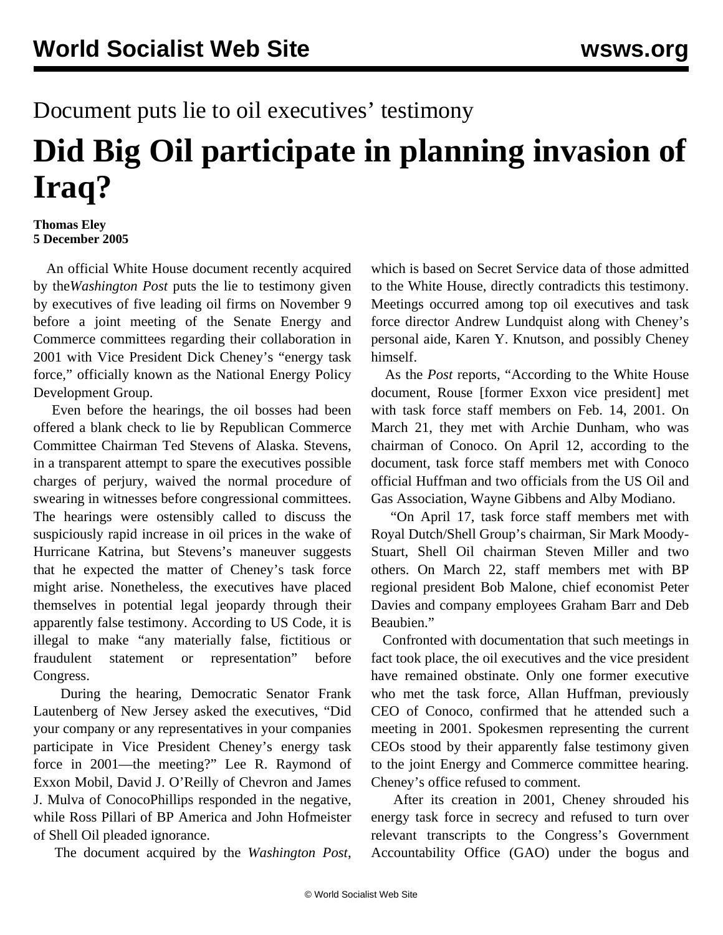## Document puts lie to oil executives' testimony

## **Did Big Oil participate in planning invasion of Iraq?**

## **Thomas Eley 5 December 2005**

 An official White House document recently acquired by the*Washington Post* puts the lie to testimony given by executives of five leading oil firms on November 9 before a joint meeting of the Senate Energy and Commerce committees regarding their collaboration in 2001 with Vice President Dick Cheney's "energy task force," officially known as the National Energy Policy Development Group.

 Even before the hearings, the oil bosses had been offered a blank check to lie by Republican Commerce Committee Chairman Ted Stevens of Alaska. Stevens, in a transparent attempt to spare the executives possible charges of perjury, waived the normal procedure of swearing in witnesses before congressional committees. The hearings were ostensibly called to discuss the suspiciously rapid increase in oil prices in the wake of Hurricane Katrina, but Stevens's maneuver suggests that he expected the matter of Cheney's task force might arise. Nonetheless, the executives have placed themselves in potential legal jeopardy through their apparently false testimony. According to US Code, it is illegal to make "any materially false, fictitious or fraudulent statement or representation" before Congress.

 During the hearing, Democratic Senator Frank Lautenberg of New Jersey asked the executives, "Did your company or any representatives in your companies participate in Vice President Cheney's energy task force in 2001—the meeting?" Lee R. Raymond of Exxon Mobil, David J. O'Reilly of Chevron and James J. Mulva of ConocoPhillips responded in the negative, while Ross Pillari of BP America and John Hofmeister of Shell Oil pleaded ignorance.

The document acquired by the *Washington Post*,

which is based on Secret Service data of those admitted to the White House, directly contradicts this testimony. Meetings occurred among top oil executives and task force director Andrew Lundquist along with Cheney's personal aide, Karen Y. Knutson, and possibly Cheney himself.

 As the *Post* reports, "According to the White House document, Rouse [former Exxon vice president] met with task force staff members on Feb. 14, 2001. On March 21, they met with Archie Dunham, who was chairman of Conoco. On April 12, according to the document, task force staff members met with Conoco official Huffman and two officials from the US Oil and Gas Association, Wayne Gibbens and Alby Modiano.

 "On April 17, task force staff members met with Royal Dutch/Shell Group's chairman, Sir Mark Moody-Stuart, Shell Oil chairman Steven Miller and two others. On March 22, staff members met with BP regional president Bob Malone, chief economist Peter Davies and company employees Graham Barr and Deb Beaubien."

 Confronted with documentation that such meetings in fact took place, the oil executives and the vice president have remained obstinate. Only one former executive who met the task force, Allan Huffman, previously CEO of Conoco, confirmed that he attended such a meeting in 2001. Spokesmen representing the current CEOs stood by their apparently false testimony given to the joint Energy and Commerce committee hearing. Cheney's office refused to comment.

 After its creation in 2001, Cheney shrouded his energy task force in secrecy and refused to turn over relevant transcripts to the Congress's Government Accountability Office (GAO) under the bogus and